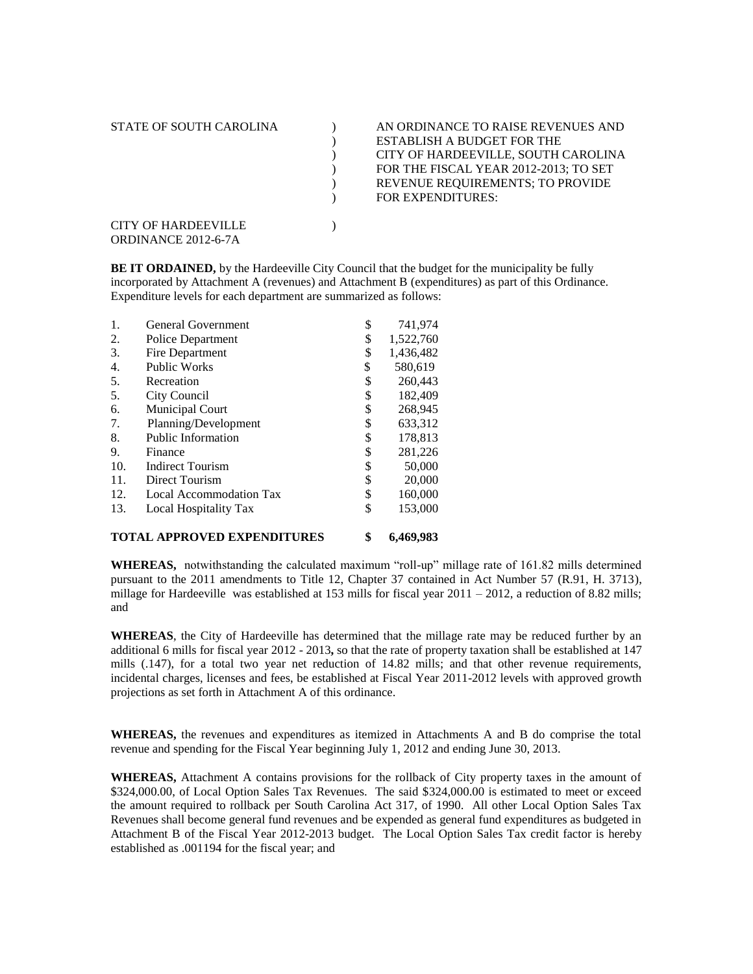| STATE OF SOUTH CAROLINA                           | AN ORDINANCE TO RAISE REVENUES AND<br><b>ESTABLISH A BUDGET FOR THE</b><br>CITY OF HARDEEVILLE, SOUTH CAROLINA<br>FOR THE FISCAL YEAR 2012-2013; TO SET<br>REVENUE REQUIREMENTS; TO PROVIDE |
|---------------------------------------------------|---------------------------------------------------------------------------------------------------------------------------------------------------------------------------------------------|
| <b>CITY OF HARDEEVILLE</b><br>ORDINANCE 2012-6-7A | <b>FOR EXPENDITURES:</b>                                                                                                                                                                    |

**BE IT ORDAINED,** by the Hardeeville City Council that the budget for the municipality be fully incorporated by Attachment A (revenues) and Attachment B (expenditures) as part of this Ordinance. Expenditure levels for each department are summarized as follows:

| 1.  | General Government        | \$<br>741,974   |
|-----|---------------------------|-----------------|
| 2.  | Police Department         | \$<br>1,522,760 |
| 3.  | Fire Department           | \$<br>1,436,482 |
| 4.  | <b>Public Works</b>       | \$<br>580,619   |
| 5.  | Recreation                | \$<br>260,443   |
| 5.  | City Council              | \$<br>182,409   |
| 6.  | <b>Municipal Court</b>    | \$<br>268,945   |
| 7.  | Planning/Development      | \$<br>633,312   |
| 8.  | <b>Public Information</b> | \$<br>178,813   |
| 9.  | Finance                   | \$<br>281,226   |
| 10. | <b>Indirect Tourism</b>   | \$<br>50,000    |
| 11. | Direct Tourism            | \$<br>20,000    |
| 12. | Local Accommodation Tax   | \$<br>160,000   |
| 13. | Local Hospitality Tax     | \$<br>153,000   |
|     |                           |                 |

#### **TOTAL APPROVED EXPENDITURES \$ 6,469,983**

**WHEREAS,** notwithstanding the calculated maximum "roll-up" millage rate of 161.82 mills determined pursuant to the 2011 amendments to Title 12, Chapter 37 contained in Act Number 57 (R.91, H. 3713), millage for Hardeeville was established at 153 mills for fiscal year  $2011 - 2012$ , a reduction of 8.82 mills; and

**WHEREAS**, the City of Hardeeville has determined that the millage rate may be reduced further by an additional 6 mills for fiscal year 2012 - 2013**,** so that the rate of property taxation shall be established at 147 mills (.147), for a total two year net reduction of 14.82 mills; and that other revenue requirements, incidental charges, licenses and fees, be established at Fiscal Year 2011-2012 levels with approved growth projections as set forth in Attachment A of this ordinance.

**WHEREAS,** the revenues and expenditures as itemized in Attachments A and B do comprise the total revenue and spending for the Fiscal Year beginning July 1, 2012 and ending June 30, 2013.

**WHEREAS,** Attachment A contains provisions for the rollback of City property taxes in the amount of \$324,000.00, of Local Option Sales Tax Revenues. The said \$324,000.00 is estimated to meet or exceed the amount required to rollback per South Carolina Act 317, of 1990. All other Local Option Sales Tax Revenues shall become general fund revenues and be expended as general fund expenditures as budgeted in Attachment B of the Fiscal Year 2012-2013 budget. The Local Option Sales Tax credit factor is hereby established as .001194 for the fiscal year; and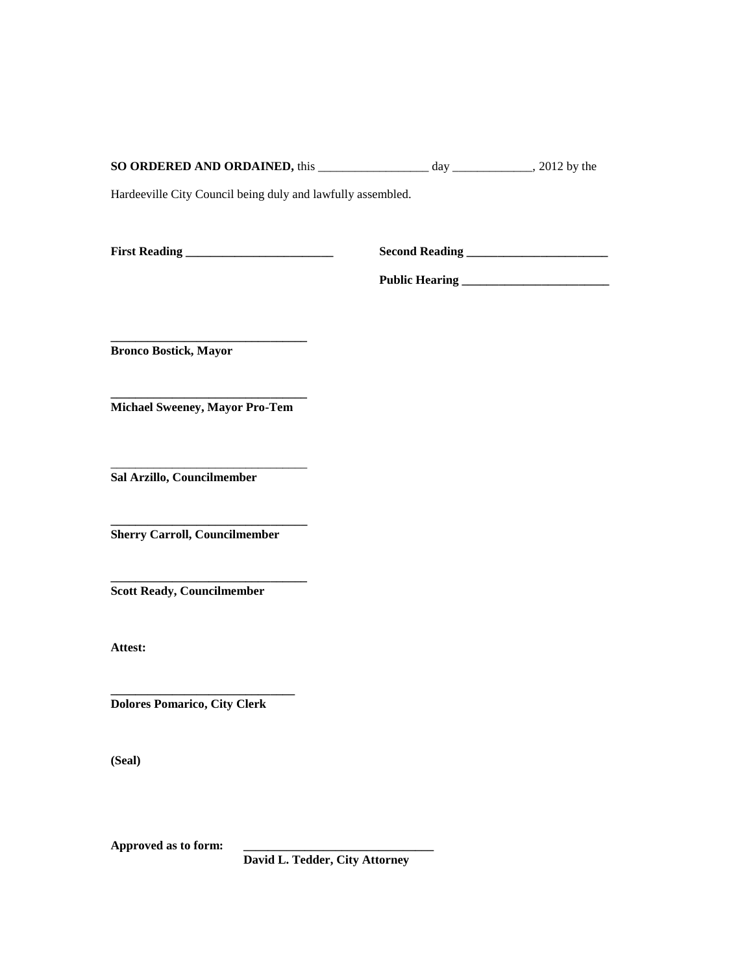| <b>SO ORDERED AND ORDAINED, this</b> | da <sup>v</sup> | $2012$ by the |
|--------------------------------------|-----------------|---------------|
|                                      |                 |               |

Hardeeville City Council being duly and lawfully assembled.

**First Reading \_\_\_\_\_\_\_\_\_\_\_\_\_\_\_\_\_\_\_\_\_\_\_\_ Second Reading \_\_\_\_\_\_\_\_\_\_\_\_\_\_\_\_\_\_\_\_\_\_\_**

**Public Hearing \_\_\_\_\_\_\_\_\_\_\_\_\_\_\_\_\_\_\_\_\_\_\_\_**

**\_\_\_\_\_\_\_\_\_\_\_\_\_\_\_\_\_\_\_\_\_\_\_\_\_\_\_\_\_\_\_\_ Bronco Bostick, Mayor**

**\_\_\_\_\_\_\_\_\_\_\_\_\_\_\_\_\_\_\_\_\_\_\_\_\_\_\_\_\_\_\_\_ Michael Sweeney, Mayor Pro-Tem**

\_\_\_\_\_\_\_\_\_\_\_\_\_\_\_\_\_\_\_\_\_\_\_\_\_\_\_\_\_\_\_\_ **Sal Arzillo, Councilmember**

**\_\_\_\_\_\_\_\_\_\_\_\_\_\_\_\_\_\_\_\_\_\_\_\_\_\_\_\_\_\_\_\_ Sherry Carroll, Councilmember**

**\_\_\_\_\_\_\_\_\_\_\_\_\_\_\_\_\_\_\_\_\_\_\_\_\_\_\_\_\_\_\_\_ Scott Ready, Councilmember**

**Attest:**

**Dolores Pomarico, City Clerk**

**\_\_\_\_\_\_\_\_\_\_\_\_\_\_\_\_\_\_\_\_\_\_\_\_\_\_\_\_\_\_**

**(Seal)**

**Approved as to form: \_\_\_\_\_\_\_\_\_\_\_\_\_\_\_\_\_\_\_\_\_\_\_\_\_\_\_\_\_\_\_**

**David L. Tedder, City Attorney**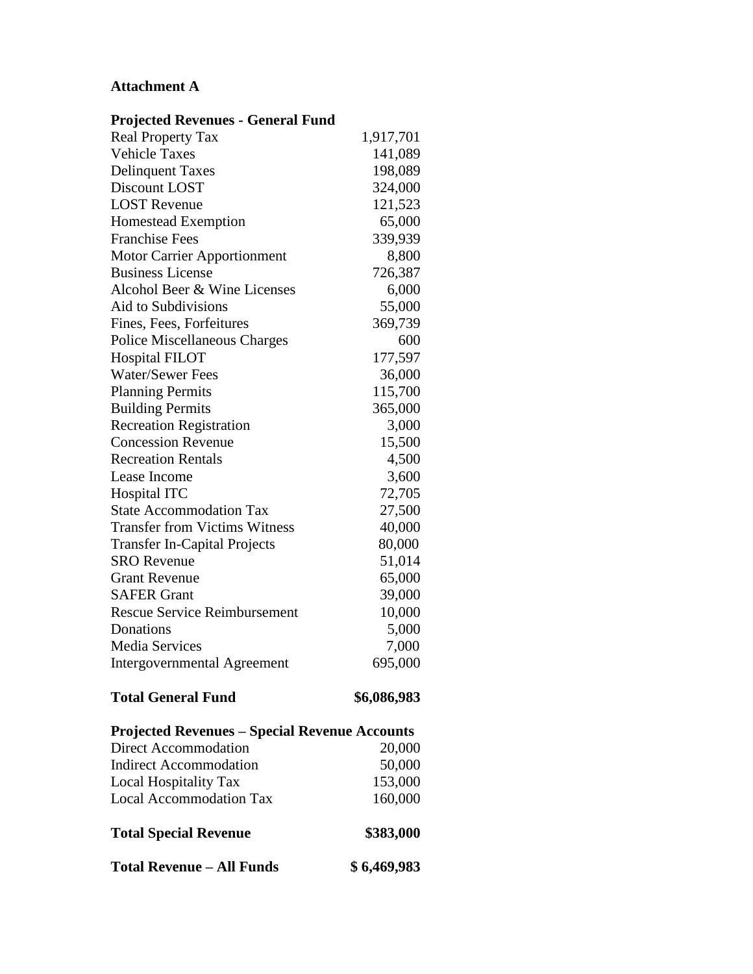# **Attachment A**

| <b>Projected Revenues - General Fund</b>             |             |
|------------------------------------------------------|-------------|
| <b>Real Property Tax</b>                             | 1,917,701   |
| <b>Vehicle Taxes</b>                                 | 141,089     |
| <b>Delinquent Taxes</b>                              | 198,089     |
| Discount LOST                                        | 324,000     |
| <b>LOST Revenue</b>                                  | 121,523     |
| Homestead Exemption                                  | 65,000      |
| <b>Franchise Fees</b>                                | 339,939     |
| <b>Motor Carrier Apportionment</b>                   | 8,800       |
| <b>Business License</b>                              | 726,387     |
| Alcohol Beer & Wine Licenses                         | 6,000       |
| Aid to Subdivisions                                  | 55,000      |
| Fines, Fees, Forfeitures                             | 369,739     |
| <b>Police Miscellaneous Charges</b>                  | 600         |
| <b>Hospital FILOT</b>                                | 177,597     |
| <b>Water/Sewer Fees</b>                              | 36,000      |
| <b>Planning Permits</b>                              | 115,700     |
| <b>Building Permits</b>                              | 365,000     |
| <b>Recreation Registration</b>                       | 3,000       |
| <b>Concession Revenue</b>                            | 15,500      |
| <b>Recreation Rentals</b>                            | 4,500       |
| Lease Income                                         | 3,600       |
| Hospital ITC                                         | 72,705      |
| <b>State Accommodation Tax</b>                       | 27,500      |
| <b>Transfer from Victims Witness</b>                 | 40,000      |
| <b>Transfer In-Capital Projects</b>                  | 80,000      |
| <b>SRO</b> Revenue                                   | 51,014      |
| <b>Grant Revenue</b>                                 | 65,000      |
| <b>SAFER Grant</b>                                   | 39,000      |
| <b>Rescue Service Reimbursement</b>                  | 10,000      |
| Donations                                            | 5,000       |
| <b>Media Services</b>                                | 7,000       |
| Intergovernmental Agreement                          | 695,000     |
| <b>Total General Fund</b>                            | \$6,086,983 |
| <b>Projected Revenues - Special Revenue Accounts</b> |             |
| Direct Accommodation                                 | 20,000      |
| <b>Indirect Accommodation</b>                        | 50,000      |
| Local Hospitality Tax                                | 153,000     |
| <b>Local Accommodation Tax</b>                       | 160,000     |
| <b>Total Special Revenue</b>                         | \$383,000   |
| <b>Total Revenue - All Funds</b>                     | \$6,469,983 |